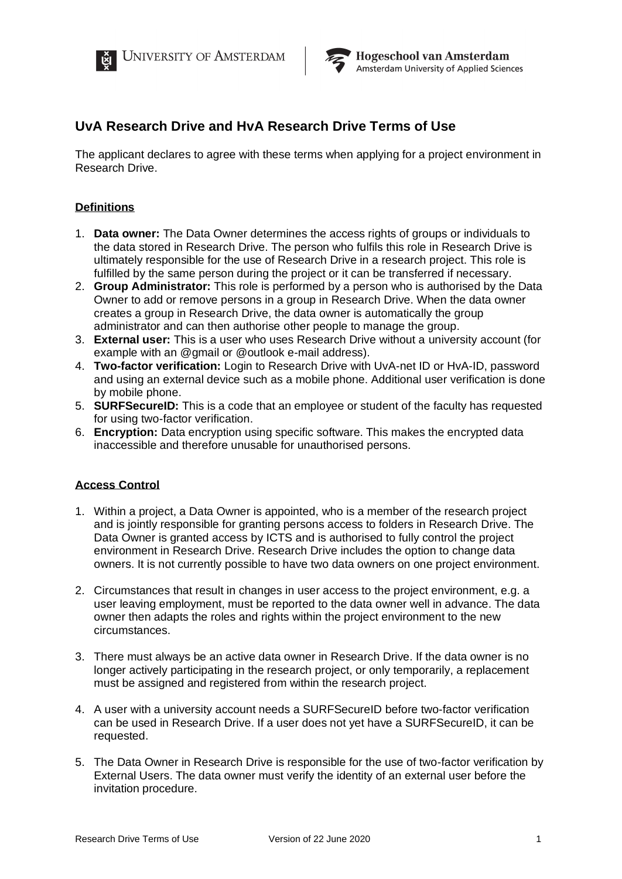



**Hogeschool van Amsterdam** Amsterdam University of Applied Sciences

# **UvA Research Drive and HvA Research Drive Terms of Use**

The applicant declares to agree with these terms when applying for a project environment in Research Drive.

## **Definitions**

- 1. **Data owner:** The Data Owner determines the access rights of groups or individuals to the data stored in Research Drive. The person who fulfils this role in Research Drive is ultimately responsible for the use of Research Drive in a research project. This role is fulfilled by the same person during the project or it can be transferred if necessary.
- 2. **Group Administrator:** This role is performed by a person who is authorised by the Data Owner to add or remove persons in a group in Research Drive. When the data owner creates a group in Research Drive, the data owner is automatically the group administrator and can then authorise other people to manage the group.
- 3. **External user:** This is a user who uses Research Drive without a university account (for example with an @gmail or @outlook e-mail address).
- 4. **Two-factor verification:** Login to Research Drive with UvA-net ID or HvA-ID, password and using an external device such as a mobile phone. Additional user verification is done by mobile phone.
- 5. **SURFSecureID:** This is a code that an employee or student of the faculty has requested for using two-factor verification.
- 6. **Encryption:** Data encryption using specific software. This makes the encrypted data inaccessible and therefore unusable for unauthorised persons.

## **Access Control**

- 1. Within a project, a Data Owner is appointed, who is a member of the research project and is jointly responsible for granting persons access to folders in Research Drive. The Data Owner is granted access by ICTS and is authorised to fully control the project environment in Research Drive. Research Drive includes the option to change data owners. It is not currently possible to have two data owners on one project environment.
- 2. Circumstances that result in changes in user access to the project environment, e.g. a user leaving employment, must be reported to the data owner well in advance. The data owner then adapts the roles and rights within the project environment to the new circumstances.
- 3. There must always be an active data owner in Research Drive. If the data owner is no longer actively participating in the research project, or only temporarily, a replacement must be assigned and registered from within the research project.
- 4. A user with a university account needs a SURFSecureID before two-factor verification can be used in Research Drive. If a user does not yet have a SURFSecureID, it can be requested.
- 5. The Data Owner in Research Drive is responsible for the use of two-factor verification by External Users. The data owner must verify the identity of an external user before the invitation procedure.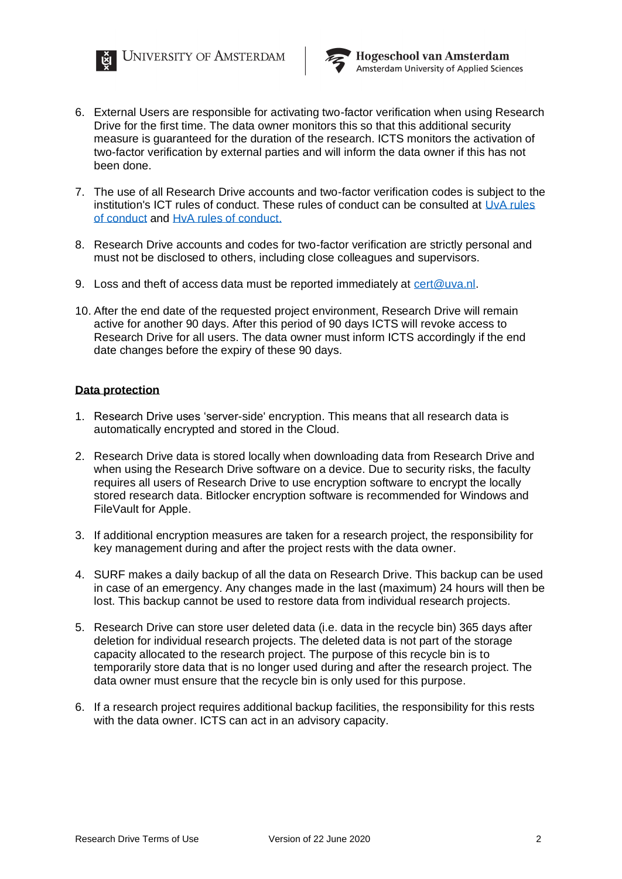



**Hogeschool van Amsterdam** Amsterdam University of Applied Sciences

- 6. External Users are responsible for activating two-factor verification when using Research Drive for the first time. The data owner monitors this so that this additional security measure is guaranteed for the duration of the research. ICTS monitors the activation of two-factor verification by external parties and will inform the data owner if this has not been done.
- 7. The use of all Research Drive accounts and two-factor verification codes is subject to the institution's ICT rules of conduct. These rules of conduct can be consulted at UvA [rules](https://extranet.uva.nl/a-z/item/ict-gedragsregels.html)  [of conduct](https://extranet.uva.nl/a-z/item/ict-gedragsregels.html) and [HvA rules of conduct.](https://az.hva.nl/medewerkers/staven-en-diensten/az-lemmas/algemeen/hva-breed/its-si/ict-gedragsregels/ict-gedragsregels.html?origin=EYPxGBCiReW4zt5jgW0eJw)
- 8. Research Drive accounts and codes for two-factor verification are strictly personal and must not be disclosed to others, including close colleagues and supervisors.
- 9. Loss and theft of access data must be reported immediately at [cert@uva.nl.](file://///ELY-PAP-NAS/Data/VB2/201200%20-%20VT/2012(21)/vertaler/cert@uva.nl)
- 10. After the end date of the requested project environment, Research Drive will remain active for another 90 days. After this period of 90 days ICTS will revoke access to Research Drive for all users. The data owner must inform ICTS accordingly if the end date changes before the expiry of these 90 days.

### **Data protection**

- 1. Research Drive uses 'server-side' encryption. This means that all research data is automatically encrypted and stored in the Cloud.
- 2. Research Drive data is stored locally when downloading data from Research Drive and when using the Research Drive software on a device. Due to security risks, the faculty requires all users of Research Drive to use encryption software to encrypt the locally stored research data. Bitlocker encryption software is recommended for Windows and FileVault for Apple.
- 3. If additional encryption measures are taken for a research project, the responsibility for key management during and after the project rests with the data owner.
- 4. SURF makes a daily backup of all the data on Research Drive. This backup can be used in case of an emergency. Any changes made in the last (maximum) 24 hours will then be lost. This backup cannot be used to restore data from individual research projects.
- 5. Research Drive can store user deleted data (i.e. data in the recycle bin) 365 days after deletion for individual research projects. The deleted data is not part of the storage capacity allocated to the research project. The purpose of this recycle bin is to temporarily store data that is no longer used during and after the research project. The data owner must ensure that the recycle bin is only used for this purpose.
- 6. If a research project requires additional backup facilities, the responsibility for this rests with the data owner. ICTS can act in an advisory capacity.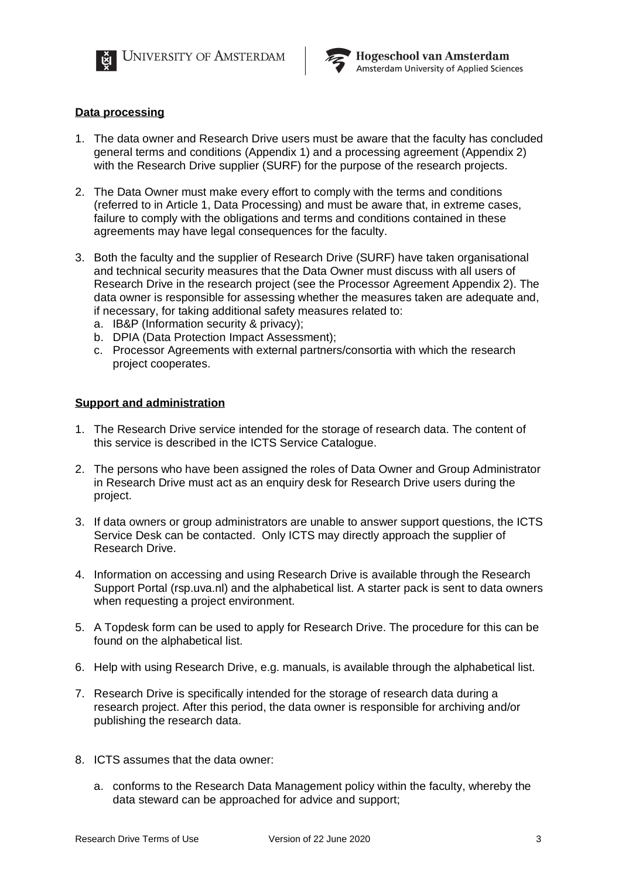



### **Data processing**

- 1. The data owner and Research Drive users must be aware that the faculty has concluded general terms and conditions (Appendix 1) and a processing agreement (Appendix 2) with the Research Drive supplier (SURF) for the purpose of the research projects.
- 2. The Data Owner must make every effort to comply with the terms and conditions (referred to in Article 1, Data Processing) and must be aware that, in extreme cases, failure to comply with the obligations and terms and conditions contained in these agreements may have legal consequences for the faculty.
- 3. Both the faculty and the supplier of Research Drive (SURF) have taken organisational and technical security measures that the Data Owner must discuss with all users of Research Drive in the research project (see the Processor Agreement Appendix 2). The data owner is responsible for assessing whether the measures taken are adequate and, if necessary, for taking additional safety measures related to:
	- a. IB&P (Information security & privacy);
	- b. DPIA (Data Protection Impact Assessment);
	- c. Processor Agreements with external partners/consortia with which the research project cooperates.

#### **Support and administration**

- 1. The Research Drive service intended for the storage of research data. The content of this service is described in the ICTS Service Catalogue.
- 2. The persons who have been assigned the roles of Data Owner and Group Administrator in Research Drive must act as an enquiry desk for Research Drive users during the project.
- 3. If data owners or group administrators are unable to answer support questions, the ICTS Service Desk can be contacted. Only ICTS may directly approach the supplier of Research Drive.
- 4. Information on accessing and using Research Drive is available through the Research Support Portal (rsp.uva.nl) and the alphabetical list. A starter pack is sent to data owners when requesting a project environment.
- 5. A Topdesk form can be used to apply for Research Drive. The procedure for this can be found on the alphabetical list.
- 6. Help with using Research Drive, e.g. manuals, is available through the alphabetical list.
- 7. Research Drive is specifically intended for the storage of research data during a research project. After this period, the data owner is responsible for archiving and/or publishing the research data.
- 8. ICTS assumes that the data owner:
	- a. conforms to the Research Data Management policy within the faculty, whereby the data steward can be approached for advice and support;